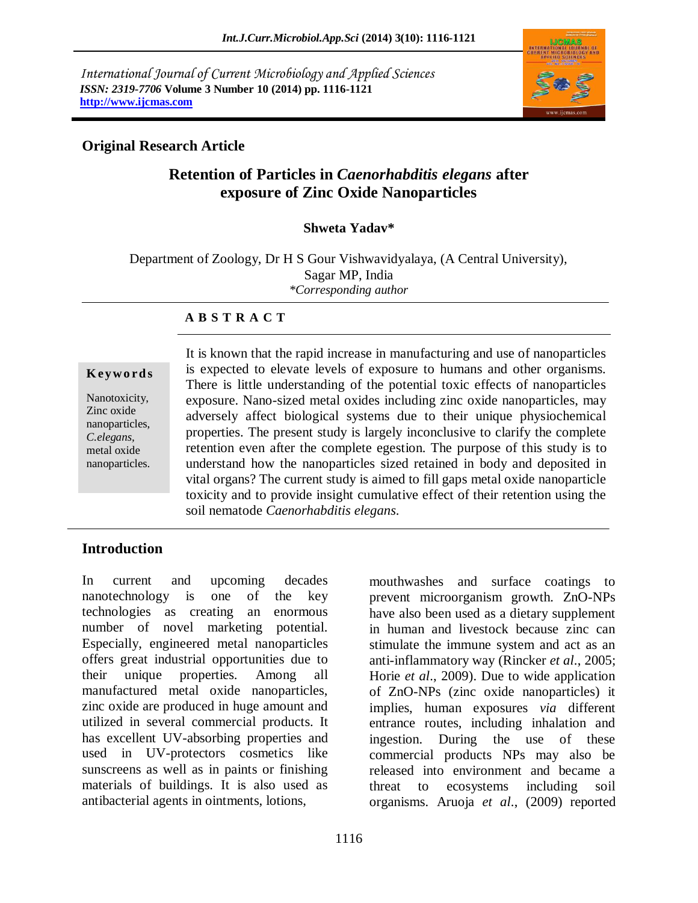*International Journal of Current Microbiology and Applied Sciences ISSN: 2319-7706* **Volume 3 Number 10 (2014) pp. 1116-1121 http://www.ijcmas.com** 



#### **Original Research Article**

# **Retention of Particles in** *Caenorhabditis elegans* **after exposure of Zinc Oxide Nanoparticles**

#### **Shweta Yadav\***

Department of Zoology, Dr H S Gour Vishwavidyalaya, (A Central University), Sagar MP, India *\*Corresponding author*

#### **A B S T R A C T**

#### **K ey w o rd s**

Nanotoxicity, Zinc oxide nanoparticles, *C.elegans,* metal oxide nanoparticles. It is known that the rapid increase in manufacturing and use of nanoparticles is expected to elevate levels of exposure to humans and other organisms. There is little understanding of the potential toxic effects of nanoparticles exposure. Nano-sized metal oxides including zinc oxide nanoparticles, may adversely affect biological systems due to their unique physiochemical properties. The present study is largely inconclusive to clarify the complete retention even after the complete egestion. The purpose of this study is to understand how the nanoparticles sized retained in body and deposited in vital organs? The current study is aimed to fill gaps metal oxide nanoparticle toxicity and to provide insight cumulative effect of their retention using the soil nematode *Caenorhabditis elegans*.

## **Introduction**

In current and upcoming decades nanotechnology is one of the key technologies as creating an enormous number of novel marketing potential. Especially, engineered metal nanoparticles offers great industrial opportunities due to their unique properties. Among all manufactured metal oxide nanoparticles, zinc oxide are produced in huge amount and utilized in several commercial products. It has excellent UV-absorbing properties and used in UV-protectors cosmetics like sunscreens as well as in paints or finishing materials of buildings. It is also used as antibacterial agents in ointments, lotions,

mouthwashes and surface coatings to prevent microorganism growth. ZnO-NPs have also been used as a dietary supplement in human and livestock because zinc can stimulate the immune system and act as an anti-inflammatory way (Rincker *et al*., 2005; Horie *et al*., 2009). Due to wide application of ZnO-NPs (zinc oxide nanoparticles) it implies, human exposures *via* different entrance routes, including inhalation and ingestion. During the use of these commercial products NPs may also be released into environment and became a threat to ecosystems including soil organisms. Aruoja *et al*., (2009) reported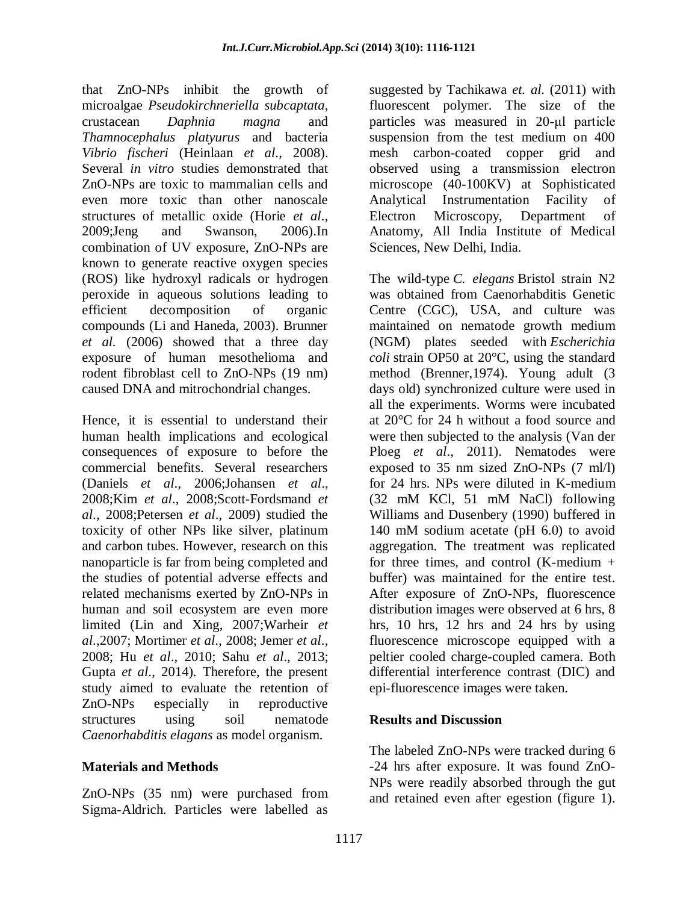that ZnO-NPs inhibit the growth of microalgae *Pseudokirchneriella subcaptata*, crustacean *Daphnia magna* and *Thamnocephalus platyurus* and bacteria *Vibrio fischeri* (Heinlaan *et al*., 2008). Several *in vitro* studies demonstrated that ZnO-NPs are toxic to mammalian cells and even more toxic than other nanoscale structures of metallic oxide (Horie *et al*., 2009;Jeng and Swanson, 2006).In combination of UV exposure, ZnO-NPs are known to generate reactive oxygen species (ROS) like hydroxyl radicals or hydrogen peroxide in aqueous solutions leading to efficient decomposition of organic compounds (Li and Haneda, 2003). Brunner *et al.* (2006) showed that a three day exposure of human mesothelioma and rodent fibroblast cell to ZnO-NPs (19 nm) caused DNA and mitrochondrial changes.

Hence, it is essential to understand their human health implications and ecological consequences of exposure to before the commercial benefits. Several researchers (Daniels *et al*., 2006;Johansen *et al*., 2008;Kim *et al*., 2008;Scott-Fordsmand *et al*., 2008;Petersen *et al*., 2009) studied the toxicity of other NPs like silver, platinum and carbon tubes. However, research on this nanoparticle is far from being completed and the studies of potential adverse effects and related mechanisms exerted by ZnO-NPs in human and soil ecosystem are even more limited (Lin and Xing, 2007;Warheir *et al*.,2007; Mortimer *et al*., 2008; Jemer *et al*., 2008; Hu *et al*., 2010; Sahu *et al*., 2013; Gupta *et al*., 2014). Therefore, the present study aimed to evaluate the retention of ZnO-NPs especially in reproductive structures using soil nematode *Caenorhabditis elagans* as model organism.

## **Materials and Methods**

ZnO-NPs (35 nm) were purchased from Sigma-Aldrich. Particles were labelled as

suggested by Tachikawa *et. al.* (2011) with fluorescent polymer. The size of the particles was measured in 20-μl particle suspension from the test medium on 400 mesh carbon-coated copper grid and observed using a transmission electron microscope (40-100KV) at Sophisticated Analytical Instrumentation Facility of Electron Microscopy, Department of Anatomy, All India Institute of Medical Sciences, New Delhi, India.

The wild-type *C. elegans* Bristol strain N2 was obtained from Caenorhabditis Genetic Centre (CGC), USA, and culture was maintained on nematode growth medium (NGM) plates seeded with *Escherichia coli* strain OP50 at 20°C, using the standard method (Brenner,1974). Young adult (3 days old) synchronized culture were used in all the experiments. Worms were incubated at 20°C for 24 h without a food source and were then subjected to the analysis (Van der Ploeg *et al*., 2011). Nematodes were exposed to 35 nm sized ZnO-NPs (7 ml/l) for 24 hrs. NPs were diluted in K-medium (32 mM KCl, 51 mM NaCl) following Williams and Dusenbery (1990) buffered in 140 mM sodium acetate (pH 6.0) to avoid aggregation. The treatment was replicated for three times, and control  $(K$ -medium  $+$ buffer) was maintained for the entire test. After exposure of ZnO-NPs, fluorescence distribution images were observed at 6 hrs, 8 hrs, 10 hrs, 12 hrs and 24 hrs by using fluorescence microscope equipped with a peltier cooled charge-coupled camera. Both differential interference contrast (DIC) and epi-fluorescence images were taken.

## **Results and Discussion**

The labeled ZnO-NPs were tracked during 6 -24 hrs after exposure. It was found ZnO-NPs were readily absorbed through the gut and retained even after egestion (figure 1).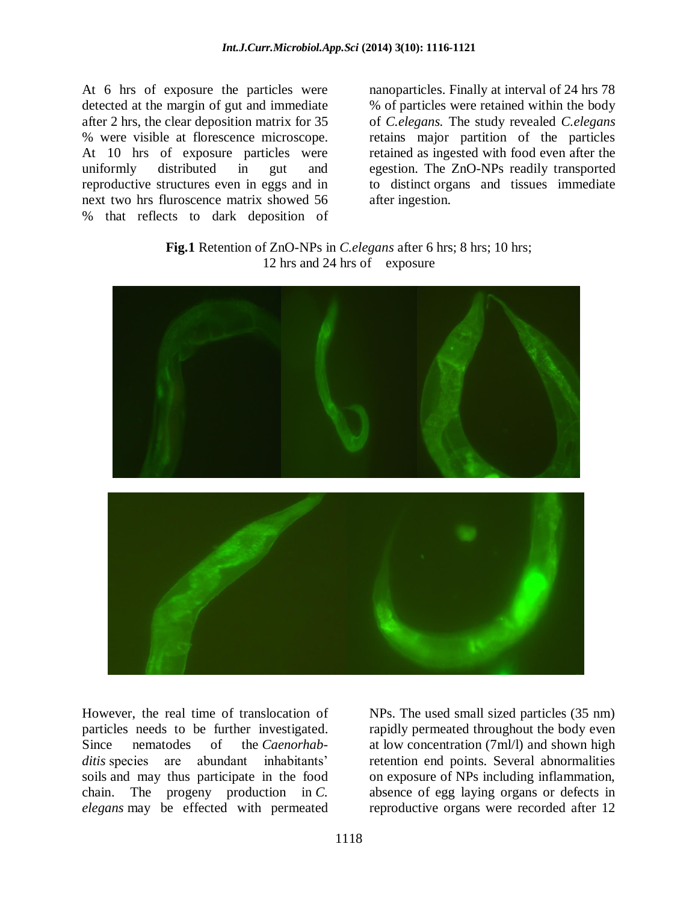At 6 hrs of exposure the particles were detected at the margin of gut and immediate after 2 hrs, the clear deposition matrix for 35 % were visible at florescence microscope. At 10 hrs of exposure particles were uniformly distributed in gut and reproductive structures even in eggs and in next two hrs fluroscence matrix showed 56 % that reflects to dark deposition of

nanoparticles. Finally at interval of 24 hrs 78 % of particles were retained within the body of *C.elegans.* The study revealed *C.elegans* retains major partition of the particles retained as ingested with food even after the egestion. The ZnO-NPs readily transported to distinct organs and tissues immediate after ingestion.

**Fig.1** Retention of ZnO-NPs in *C.elegans* after 6 hrs; 8 hrs; 10 hrs; 12 hrs and 24 hrs of exposure



However, the real time of translocation of particles needs to be further investigated. Since nematodes of the *Caenorhabditis* species are abundant inhabitants' soils and may thus participate in the food chain. The progeny production in *C. elegans* may be effected with permeated NPs. The used small sized particles (35 nm) rapidly permeated throughout the body even at low concentration (7ml/l) and shown high retention end points. Several abnormalities on exposure of NPs including inflammation, absence of egg laying organs or defects in reproductive organs were recorded after 12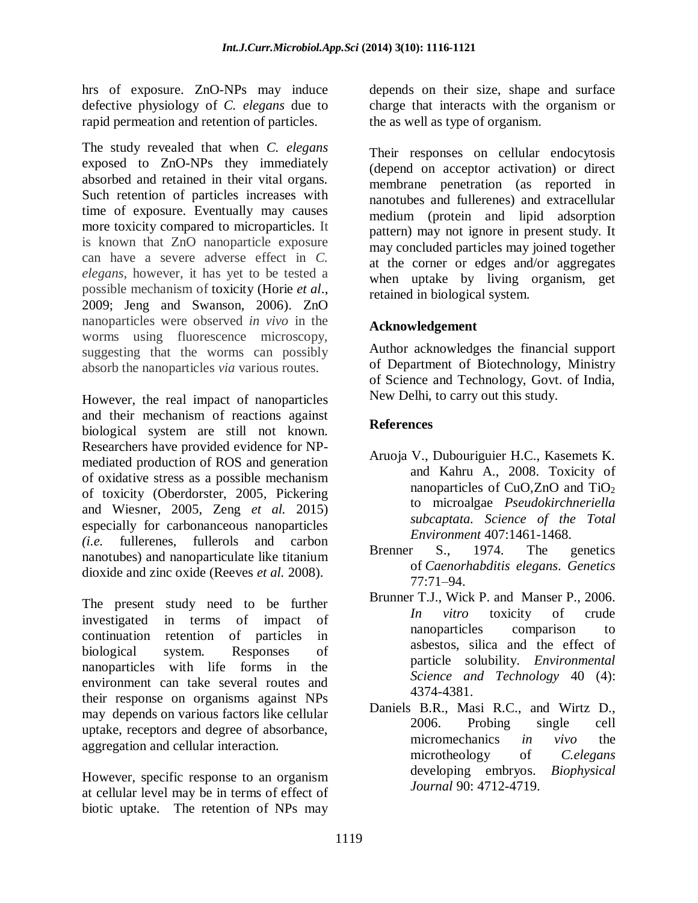hrs of exposure. ZnO-NPs may induce defective physiology of *C. elegans* due to rapid permeation and retention of particles.

The study revealed that when *C. elegans* exposed to ZnO-NPs they immediately absorbed and retained in their vital organs. Such retention of particles increases with time of exposure. Eventually may causes more toxicity compared to microparticles. It is known that ZnO nanoparticle exposure can have a severe adverse effect in *C. elegans*, however, it has yet to be tested a possible mechanism of toxicity (Horie *et al*., 2009; Jeng and Swanson, 2006). ZnO nanoparticles were observed *in vivo* in the worms using fluorescence microscopy, suggesting that the worms can possibly absorb the nanoparticles *via* various routes.

However, the real impact of nanoparticles and their mechanism of reactions against biological system are still not known. Researchers have provided evidence for NPmediated production of ROS and generation of oxidative stress as a possible mechanism of toxicity (Oberdorster, 2005*,* Pickering and Wiesner, 2005*,* Zeng *et al.* 2015) especially for carbonanceous nanoparticles *(i.e.* fullerenes, fullerols and carbon nanotubes) and nanoparticulate like titanium dioxide and zinc oxide (Reeves *et al.* 2008).

The present study need to be further investigated in terms of impact of continuation retention of particles in biological system. Responses of nanoparticles with life forms in the environment can take several routes and their response on organisms against NPs may depends on various factors like cellular uptake, receptors and degree of absorbance, aggregation and cellular interaction.

However, specific response to an organism at cellular level may be in terms of effect of biotic uptake. The retention of NPs may

depends on their size, shape and surface charge that interacts with the organism or the as well as type of organism.

Their responses on cellular endocytosis (depend on acceptor activation) or direct membrane penetration (as reported in nanotubes and fullerenes) and extracellular medium (protein and lipid adsorption pattern) may not ignore in present study. It may concluded particles may joined together at the corner or edges and/or aggregates when uptake by living organism, get retained in biological system.

## **Acknowledgement**

Author acknowledges the financial support of Department of Biotechnology, Ministry of Science and Technology, Govt. of India, New Delhi, to carry out this study.

## **References**

- Aruoja V., Dubouriguier H.C., Kasemets K. and Kahru A., 2008. Toxicity of nanoparticles of CuO,ZnO and TiO<sub>2</sub> to microalgae *Pseudokirchneriella subcaptata. Science of the Total Environment* 407:1461-1468.
- Brenner S., 1974. The genetics of *Caenorhabditis elegans*. *Genetics* 77:71–94.
- Brunner T.J., Wick P. and Manser P., 2006. *In vitro* toxicity of crude nanoparticles comparison to asbestos, silica and the effect of particle solubility. *Environmental Science and Technology* 40 (4): 4374-4381.
- Daniels B.R., Masi R.C., and Wirtz D., 2006. Probing single cell micromechanics *in vivo* the microtheology of *C.elegans*<br>developing embryos. *Biophysical* developing embryos. *Journal* 90: 4712-4719.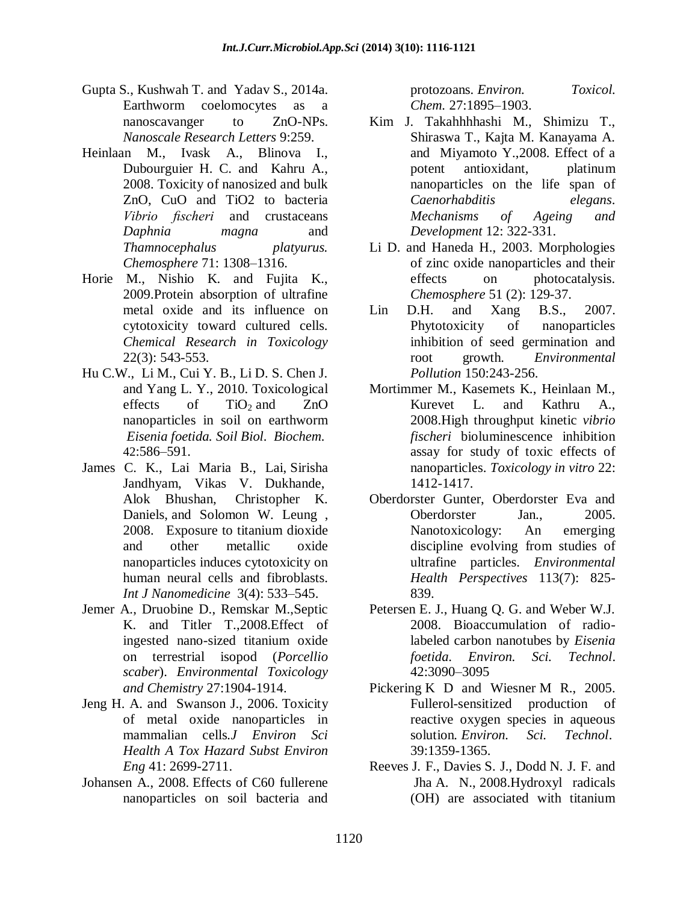- Gupta S., Kushwah T. and Yadav S., 2014a. Earthworm coelomocytes as a nanoscavanger to ZnO-NPs. *Nanoscale Research Letters* 9:259.
- Heinlaan M., Ivask A., Blinova I., Dubourguier H. C. and Kahru A., 2008. Toxicity of nanosized and bulk ZnO, CuO and TiO2 to bacteria *Vibrio fischeri* and crustaceans *Daphnia magna* and *Thamnocephalus platyurus. Chemosphere* 71: 1308–1316.
- Horie M., Nishio K. and Fujita K., 2009.Protein absorption of ultrafine metal oxide and its influence on cytotoxicity toward cultured cells. *Chemical Research in Toxicology* 22(3): 543-553.
- Hu C.W., Li M., Cui Y. B., Li D. S. Chen J. and Yang L. Y., 2010. Toxicological effects of  $TiO<sub>2</sub>$  and  $ZnO$ nanoparticles in soil on earthworm *Eisenia foetida. Soil Biol*. *Biochem.* 42:586–591.
- James C. K., Lai [Maria B., Lai,](http://www.ncbi.nlm.nih.gov/pubmed/?term=Lai%20MB%5Bauth%5D) [Sirisha](http://www.ncbi.nlm.nih.gov/pubmed/?term=Jandhyam%20S%5Bauth%5D)  [Jandhyam,](http://www.ncbi.nlm.nih.gov/pubmed/?term=Jandhyam%20S%5Bauth%5D) [Vikas V. Dukhande,](http://www.ncbi.nlm.nih.gov/pubmed/?term=Dukhande%20VV%5Bauth%5D) [Alok Bhushan,](http://www.ncbi.nlm.nih.gov/pubmed/?term=Bhushan%20A%5Bauth%5D) Christopher K. Daniels, and Solomon W. Leung , 2008. Exposure to titanium dioxide and other metallic oxide nanoparticles induces cytotoxicity on human neural cells and fibroblasts. *Int J Nanomedicine* 3(4): 533–545.
- Jemer A., Druobine D., Remskar M.,Septic K. and Titler T.,2008.Effect of ingested nano-sized titanium oxide on terrestrial isopod (*Porcellio scaber*). *Environmental Toxicology and Chemistry* 27:1904-1914.
- Jeng H. A. and Swanson J., 2006. Toxicity of metal oxide nanoparticles in mammalian cells*.J Environ Sci Health A Tox Hazard Subst Environ Eng* 41: 2699-2711.
- Johansen A., 2008. Effects of C60 fullerene nanoparticles on soil bacteria and

protozoans. *Environ. Toxicol. Chem.* 27:1895–1903.

- Kim J. Takahhhhashi M., Shimizu T., Shiraswa T., Kajta M. Kanayama A. and Miyamoto Y.,2008. Effect of a potent antioxidant, platinum nanoparticles on the life span of *Caenorhabditis elegans*. *Mechanisms of Ageing and Development* 12: 322-331.
- Li D. and Haneda H., 2003. Morphologies of zinc oxide nanoparticles and their effects on photocatalysis. *Chemosphere* 51 (2): 129-37.
- Lin D.H. and Xang B.S., 2007. Phytotoxicity of nanoparticles inhibition of seed germination and root growth. *Environmental Pollution* 150:243-256.
- Mortimmer M., Kasemets K., Heinlaan M., Kurevet L. and Kathru A., 2008.High throughput kinetic *vibrio fischeri* bioluminescence inhibition assay for study of toxic effects of nanoparticles. *Toxicology in vitro* 22: 1412-1417.
- Oberdorster Gunter, Oberdorster Eva and Oberdorster Jan., 2005. Nanotoxicology: An emerging discipline evolving from studies of ultrafine particles. *Environmental Health Perspectives* 113(7): 825- 839.
- Petersen E. J., Huang Q. G. and Weber W.J. 2008. Bioaccumulation of radiolabeled carbon nanotubes by *Eisenia foetida*. *Environ. Sci. Technol*. 42:3090–3095
- Pickering K D and Wiesner M R., 2005. Fullerol-sensitized production of reactive oxygen species in aqueous solution*. Environ. Sci. Technol*. 39:1359-1365.
- Reeves J. F., Davies S. J., Dodd N. J. F. and Jha A. N., 2008.Hydroxyl radicals (OH) are associated with titanium